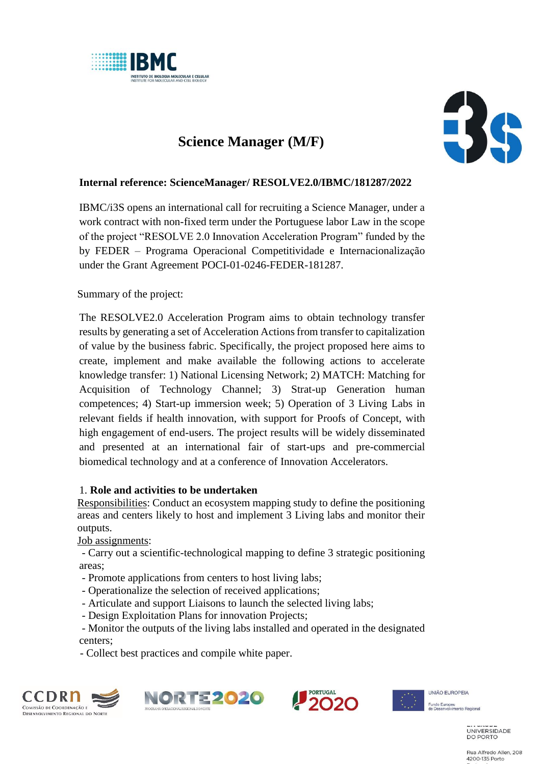

# **Science Manager (M/F)**



## **Internal reference: ScienceManager/ RESOLVE2.0/IBMC/181287/2022**

IBMC/i3S opens an international call for recruiting a Science Manager, under a work contract with non-fixed term under the Portuguese labor Law in the scope of the project "RESOLVE 2.0 Innovation Acceleration Program" funded by the by FEDER – Programa Operacional Competitividade e Internacionalização under the Grant Agreement POCI-01-0246-FEDER-181287.

Summary of the project:

The RESOLVE2.0 Acceleration Program aims to obtain technology transfer results by generating a set of Acceleration Actions from transfer to capitalization of value by the business fabric. Specifically, the project proposed here aims to create, implement and make available the following actions to accelerate knowledge transfer: 1) National Licensing Network; 2) MATCH: Matching for Acquisition of Technology Channel; 3) Strat-up Generation human competences; 4) Start-up immersion week; 5) Operation of 3 Living Labs in relevant fields if health innovation, with support for Proofs of Concept, with high engagement of end-users. The project results will be widely disseminated and presented at an international fair of start-ups and pre-commercial biomedical technology and at a conference of Innovation Accelerators.

#### 1. **Role and activities to be undertaken**

Responsibilities: Conduct an ecosystem mapping study to define the positioning areas and centers likely to host and implement 3 Living labs and monitor their outputs.

Job assignments:

- Carry out a scientific-technological mapping to define 3 strategic positioning areas;

- Promote applications from centers to host living labs;
- Operationalize the selection of received applications;
- Articulate and support Liaisons to launch the selected living labs;
- Design Exploitation Plans for innovation Projects;

- Monitor the outputs of the living labs installed and operated in the designated centers;

- Collect best practices and compile white paper.









Fundo Europeu<br>de Desenvolvimento Regional

UNIVERSIDADE **DO PORTO** 

Rua Alfredo Allen, 208 4200-135 Porto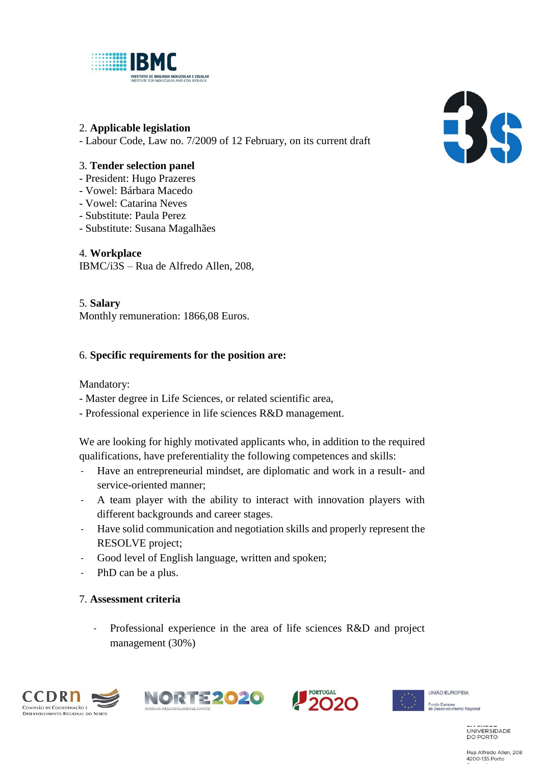

### 2. **Applicable legislation**

- Labour Code, Law no. 7/2009 of 12 February, on its current draft

## 3. **Tender selection panel**

- President: Hugo Prazeres
- Vowel: Bárbara Macedo
- Vowel: Catarina Neves
- Substitute: Paula Perez
- Substitute: Susana Magalhães

4. **Workplace** IBMC/i3S – Rua de Alfredo Allen, 208,

#### 5. **Salary**

Monthly remuneration: 1866,08 Euros.

## 6. **Specific requirements for the position are:**

Mandatory:

- Master degree in Life Sciences, or related scientific area,
- Professional experience in life sciences R&D management.

We are looking for highly motivated applicants who, in addition to the required qualifications, have preferentiality the following competences and skills:

- Have an entrepreneurial mindset, are diplomatic and work in a result- and service-oriented manner;
- A team player with the ability to interact with innovation players with different backgrounds and career stages.
- Have solid communication and negotiation skills and properly represent the RESOLVE project;
- Good level of English language, written and spoken;
- PhD can be a plus.

#### 7. **Assessment criteria**

Professional experience in the area of life sciences R&D and project management (30%)









 $\blacksquare$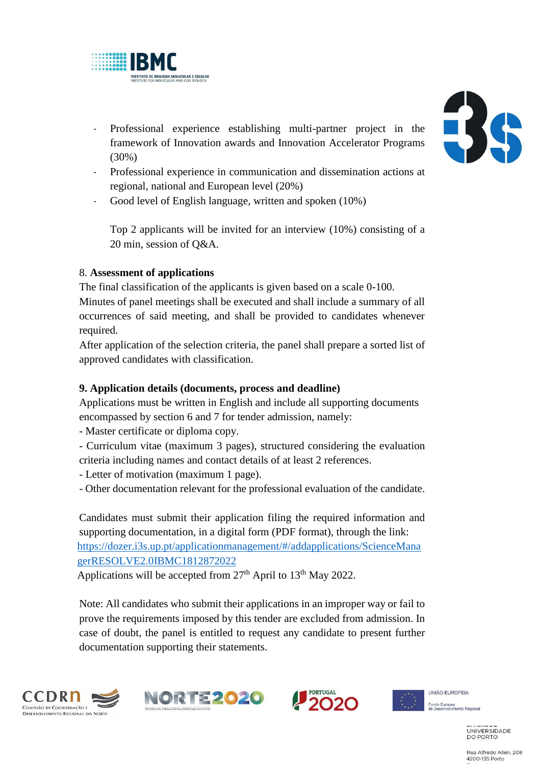

- Professional experience establishing multi-partner project in the framework of Innovation awards and Innovation Accelerator Programs (30%)
- Professional experience in communication and dissemination actions at regional, national and European level (20%)
- Good level of English language, written and spoken (10%)

Top 2 applicants will be invited for an interview (10%) consisting of a 20 min, session of Q&A.

# 8. **Assessment of applications**

The final classification of the applicants is given based on a scale 0-100.

Minutes of panel meetings shall be executed and shall include a summary of all occurrences of said meeting, and shall be provided to candidates whenever required.

After application of the selection criteria, the panel shall prepare a sorted list of approved candidates with classification.

# **9. Application details (documents, process and deadline)**

Applications must be written in English and include all supporting documents encompassed by section 6 and 7 for tender admission, namely:

- Master certificate or diploma copy.

- Curriculum vitae (maximum 3 pages), structured considering the evaluation criteria including names and contact details of at least 2 references.

- Letter of motivation (maximum 1 page).
- Other documentation relevant for the professional evaluation of the candidate.

Candidates must submit their application filing the required information and supporting documentation, in a digital form (PDF format), through the link: [https://dozer.i3s.up.pt/applicationmanagement/#/addapplications/ScienceMana](https://dozer.i3s.up.pt/applicationmanagement/#/addapplications/ScienceManagerRESOLVE2.0IBMC1812872022) [gerRESOLVE2.0IBMC1812872022](https://dozer.i3s.up.pt/applicationmanagement/#/addapplications/ScienceManagerRESOLVE2.0IBMC1812872022)

Applications will be accepted from  $27<sup>th</sup>$  April to  $13<sup>th</sup>$  May 2022.

Note: All candidates who submit their applications in an improper way or fail to prove the requirements imposed by this tender are excluded from admission. In case of doubt, the panel is entitled to request any candidate to present further documentation supporting their statements.











4200-135 Porto